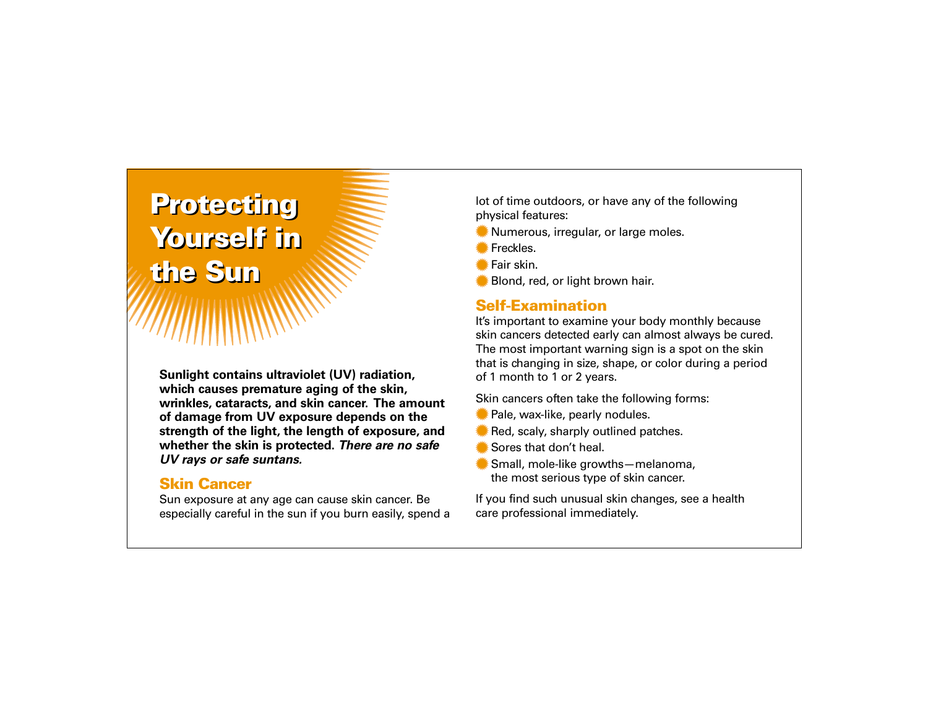# **Protecting Protecting Yourself in Yourself in the Sun the Sun**

**Sunlight contains ultraviolet (UV) radiation, which causes premature aging of the skin, wrinkles, cataracts, and skin cancer. The amount of damage from UV exposure depends on the strength of the light, the length of exposure, and whether the skin is protected.** *There are no safe UV rays or safe suntans.*

#### **Skin Cancer**

Sun exposure at any age can cause skin cancer. Be especially careful in the sun if you burn easily, spend a lot of time outdoors, or have any of the following physical features:

- Numerous, irregular, or large moles.
- **Freckles.**
- Fair skin.
- Blond, red, or light brown hair.

# **Self-Examination**

It's important to examine your body monthly because skin cancers detected early can almost always be cured. The most important warning sign is a spot on the skin that is changing in size, shape, or color during a period of 1 month to 1 or 2 years.

Skin cancers often take the following forms:

- Pale, wax-like, pearly nodules.
- Red, scaly, sharply outlined patches.
- Sores that don't heal.
- Small, mole-like growths—melanoma, the most serious type of skin cancer.

If you find such unusual skin changes, see a health care professional immediately.